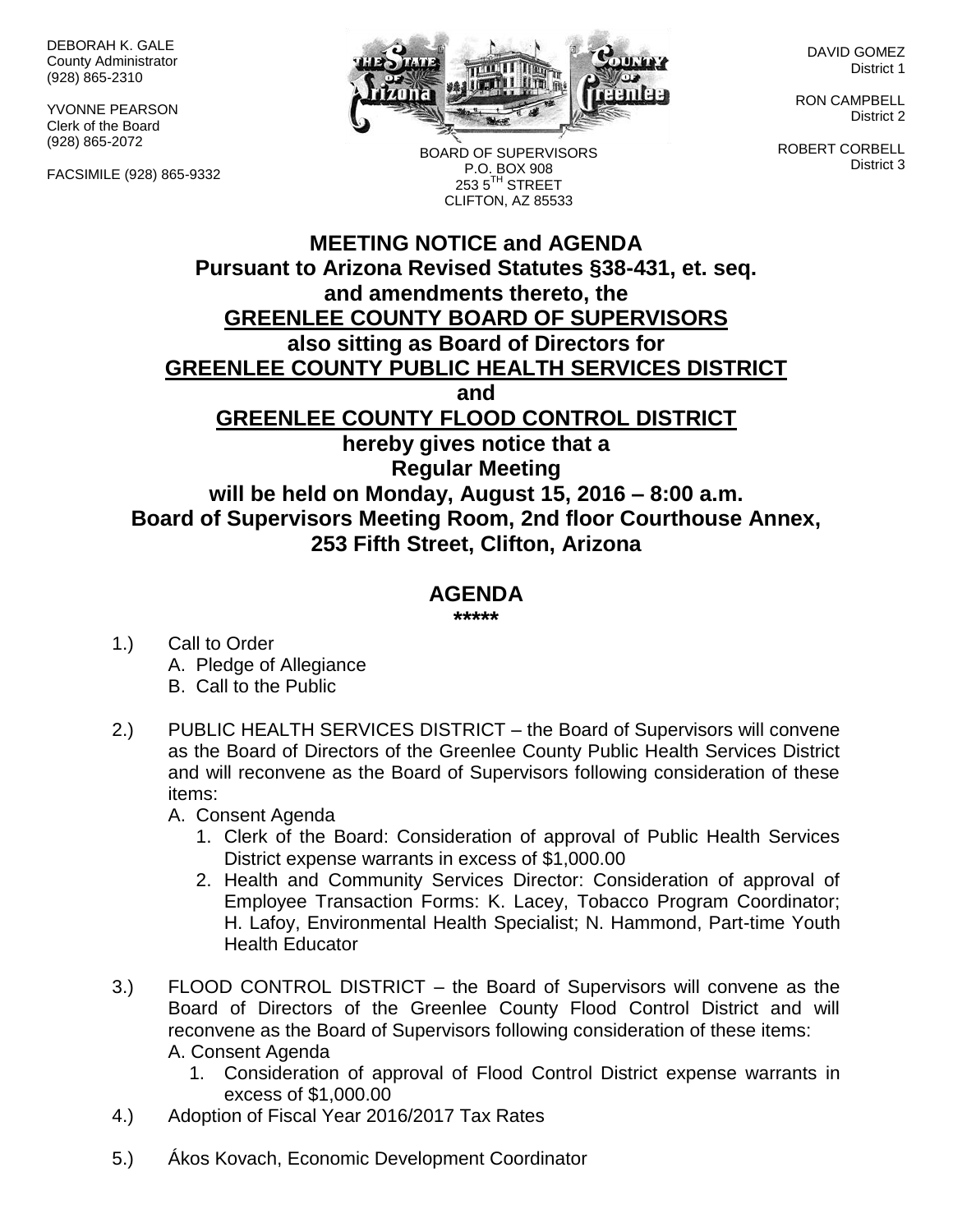DEBORAH K. GALE County Administrator (928) 865-2310

YVONNE PEARSON Clerk of the Board (928) 865-2072

FACSIMILE (928) 865-9332



BOARD OF SUPERVISORS P.O. BOX 908 253 5TH STREET CLIFTON, AZ 85533

DAVID GOMEZ District 1

RON CAMPBELL District 2

ROBERT CORBELL District 3

## **MEETING NOTICE and AGENDA Pursuant to Arizona Revised Statutes §38-431, et. seq. and amendments thereto, the GREENLEE COUNTY BOARD OF SUPERVISORS also sitting as Board of Directors for GREENLEE COUNTY PUBLIC HEALTH SERVICES DISTRICT and GREENLEE COUNTY FLOOD CONTROL DISTRICT hereby gives notice that a Regular Meeting will be held on Monday, August 15, 2016 – 8:00 a.m. Board of Supervisors Meeting Room, 2nd floor Courthouse Annex, 253 Fifth Street, Clifton, Arizona**

## **AGENDA**

**\*\*\*\*\***

- 1.) Call to Order A. Pledge of Allegiance B. Call to the Public
- 2.) PUBLIC HEALTH SERVICES DISTRICT the Board of Supervisors will convene as the Board of Directors of the Greenlee County Public Health Services District and will reconvene as the Board of Supervisors following consideration of these items:
	- A. Consent Agenda
		- 1. Clerk of the Board: Consideration of approval of Public Health Services District expense warrants in excess of \$1,000.00
		- 2. Health and Community Services Director: Consideration of approval of Employee Transaction Forms: K. Lacey, Tobacco Program Coordinator; H. Lafoy, Environmental Health Specialist; N. Hammond, Part-time Youth Health Educator
- 3.) FLOOD CONTROL DISTRICT the Board of Supervisors will convene as the Board of Directors of the Greenlee County Flood Control District and will reconvene as the Board of Supervisors following consideration of these items: A. Consent Agenda
	- 1. Consideration of approval of Flood Control District expense warrants in excess of \$1,000.00
- 4.) Adoption of Fiscal Year 2016/2017 Tax Rates
- 5.) Ákos Kovach, Economic Development Coordinator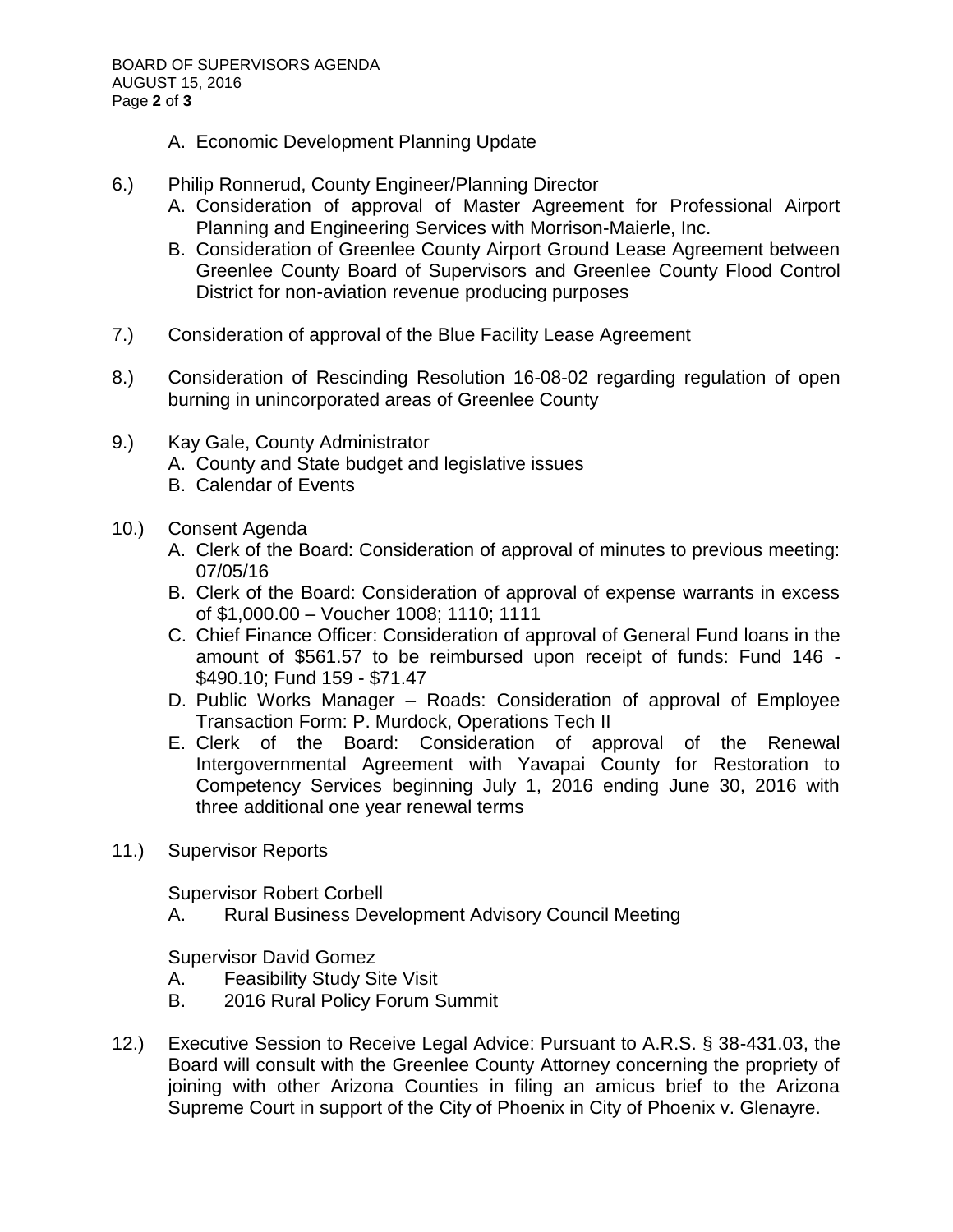- A. Economic Development Planning Update
- 6.) Philip Ronnerud, County Engineer/Planning Director
	- A. Consideration of approval of Master Agreement for Professional Airport Planning and Engineering Services with Morrison-Maierle, Inc.
	- B. Consideration of Greenlee County Airport Ground Lease Agreement between Greenlee County Board of Supervisors and Greenlee County Flood Control District for non-aviation revenue producing purposes
- 7.) Consideration of approval of the Blue Facility Lease Agreement
- 8.) Consideration of Rescinding Resolution 16-08-02 regarding regulation of open burning in unincorporated areas of Greenlee County
- 9.) Kay Gale, County Administrator
	- A. County and State budget and legislative issues
	- B. Calendar of Events
- 10.) Consent Agenda
	- A. Clerk of the Board: Consideration of approval of minutes to previous meeting: 07/05/16
	- B. Clerk of the Board: Consideration of approval of expense warrants in excess of \$1,000.00 – Voucher 1008; 1110; 1111
	- C. Chief Finance Officer: Consideration of approval of General Fund loans in the amount of \$561.57 to be reimbursed upon receipt of funds: Fund 146 - \$490.10; Fund 159 - \$71.47
	- D. Public Works Manager Roads: Consideration of approval of Employee Transaction Form: P. Murdock, Operations Tech II
	- E. Clerk of the Board: Consideration of approval of the Renewal Intergovernmental Agreement with Yavapai County for Restoration to Competency Services beginning July 1, 2016 ending June 30, 2016 with three additional one year renewal terms
- 11.) Supervisor Reports

Supervisor Robert Corbell

A. Rural Business Development Advisory Council Meeting

Supervisor David Gomez

- A. Feasibility Study Site Visit
- B. 2016 Rural Policy Forum Summit
- 12.) Executive Session to Receive Legal Advice: Pursuant to A.R.S. § 38-431.03, the Board will consult with the Greenlee County Attorney concerning the propriety of joining with other Arizona Counties in filing an amicus brief to the Arizona Supreme Court in support of the City of Phoenix in City of Phoenix v. Glenayre.